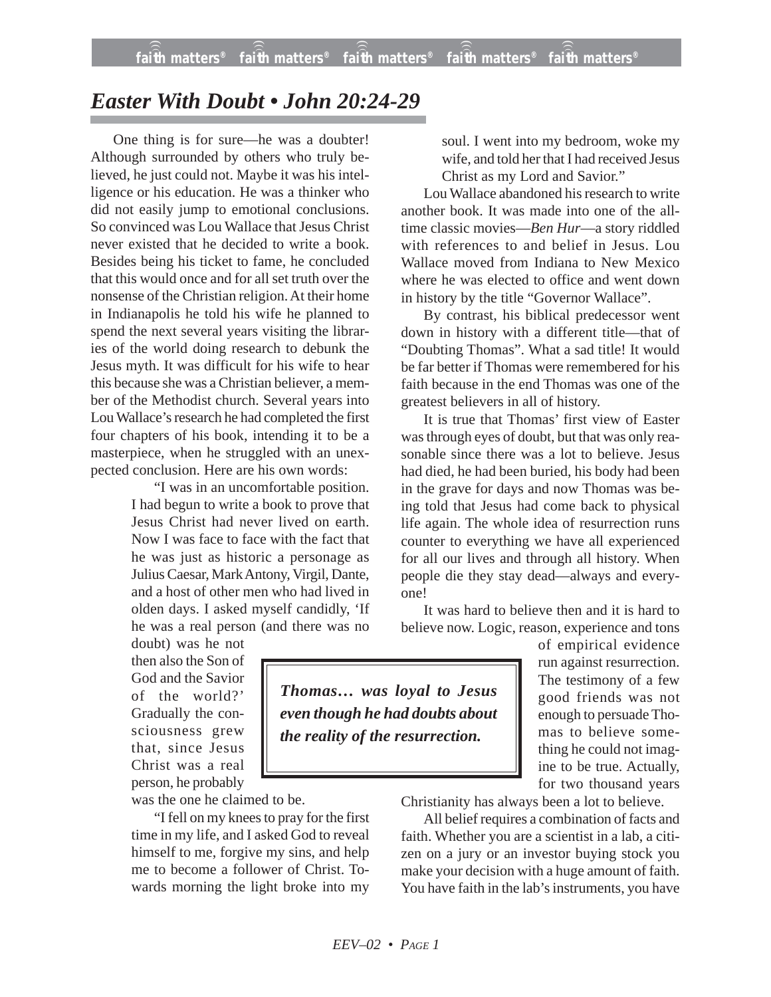## *Easter With Doubt • John 20:24-29*

One thing is for sure—he was a doubter! Although surrounded by others who truly believed, he just could not. Maybe it was his intelligence or his education. He was a thinker who did not easily jump to emotional conclusions. So convinced was Lou Wallace that Jesus Christ never existed that he decided to write a book. Besides being his ticket to fame, he concluded that this would once and for all set truth over the nonsense of the Christian religion. At their home in Indianapolis he told his wife he planned to spend the next several years visiting the libraries of the world doing research to debunk the Jesus myth. It was difficult for his wife to hear this because she was a Christian believer, a member of the Methodist church. Several years into Lou Wallace's research he had completed the first four chapters of his book, intending it to be a masterpiece, when he struggled with an unexpected conclusion. Here are his own words:

> "I was in an uncomfortable position. I had begun to write a book to prove that Jesus Christ had never lived on earth. Now I was face to face with the fact that he was just as historic a personage as Julius Caesar, Mark Antony, Virgil, Dante, and a host of other men who had lived in olden days. I asked myself candidly, 'If he was a real person (and there was no

doubt) was he not then also the Son of God and the Savior of the world?' Gradually the consciousness grew that, since Jesus Christ was a real person, he probably

was the one he claimed to be.

"I fell on my knees to pray for the first time in my life, and I asked God to reveal himself to me, forgive my sins, and help me to become a follower of Christ. Towards morning the light broke into my soul. I went into my bedroom, woke my wife, and told her that I had received Jesus Christ as my Lord and Savior."

Lou Wallace abandoned his research to write another book. It was made into one of the alltime classic movies—*Ben Hur*—a story riddled with references to and belief in Jesus. Lou Wallace moved from Indiana to New Mexico where he was elected to office and went down in history by the title "Governor Wallace".

By contrast, his biblical predecessor went down in history with a different title—that of "Doubting Thomas". What a sad title! It would be far better if Thomas were remembered for his faith because in the end Thomas was one of the greatest believers in all of history.

It is true that Thomas' first view of Easter was through eyes of doubt, but that was only reasonable since there was a lot to believe. Jesus had died, he had been buried, his body had been in the grave for days and now Thomas was being told that Jesus had come back to physical life again. The whole idea of resurrection runs counter to everything we have all experienced for all our lives and through all history. When people die they stay dead—always and everyone!

It was hard to believe then and it is hard to believe now. Logic, reason, experience and tons

> of empirical evidence run against resurrection. The testimony of a few good friends was not enough to persuade Thomas to believe something he could not imagine to be true. Actually, for two thousand years

Christianity has always been a lot to believe.

All belief requires a combination of facts and faith. Whether you are a scientist in a lab, a citizen on a jury or an investor buying stock you make your decision with a huge amount of faith. You have faith in the lab's instruments, you have

*Thomas… was loyal to Jesus even though he had doubts about the reality of the resurrection.*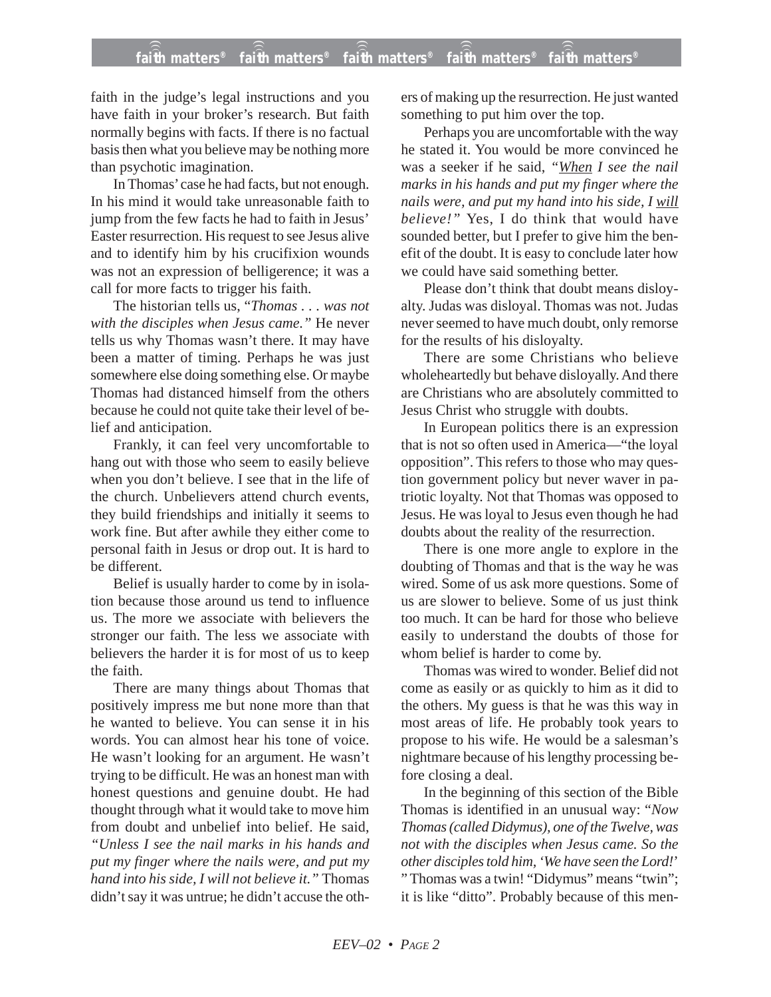## **faith matters® faith matters® faith matters® faith matters® faith matters®** ))) ))) ))) ))) )))

faith in the judge's legal instructions and you have faith in your broker's research. But faith normally begins with facts. If there is no factual basis then what you believe may be nothing more than psychotic imagination.

In Thomas' case he had facts, but not enough. In his mind it would take unreasonable faith to jump from the few facts he had to faith in Jesus' Easter resurrection. His request to see Jesus alive and to identify him by his crucifixion wounds was not an expression of belligerence; it was a call for more facts to trigger his faith.

The historian tells us, "*Thomas . . . was not with the disciples when Jesus came."* He never tells us why Thomas wasn't there. It may have been a matter of timing. Perhaps he was just somewhere else doing something else. Or maybe Thomas had distanced himself from the others because he could not quite take their level of belief and anticipation.

Frankly, it can feel very uncomfortable to hang out with those who seem to easily believe when you don't believe. I see that in the life of the church. Unbelievers attend church events, they build friendships and initially it seems to work fine. But after awhile they either come to personal faith in Jesus or drop out. It is hard to be different.

Belief is usually harder to come by in isolation because those around us tend to influence us. The more we associate with believers the stronger our faith. The less we associate with believers the harder it is for most of us to keep the faith.

There are many things about Thomas that positively impress me but none more than that he wanted to believe. You can sense it in his words. You can almost hear his tone of voice. He wasn't looking for an argument. He wasn't trying to be difficult. He was an honest man with honest questions and genuine doubt. He had thought through what it would take to move him from doubt and unbelief into belief. He said, *"Unless I see the nail marks in his hands and put my finger where the nails were, and put my hand into his side, I will not believe it."* Thomas didn't say it was untrue; he didn't accuse the others of making up the resurrection. He just wanted something to put him over the top.

Perhaps you are uncomfortable with the way he stated it. You would be more convinced he was a seeker if he said, *"When I see the nail marks in his hands and put my finger where the nails were, and put my hand into his side, I will believe!"* Yes, I do think that would have sounded better, but I prefer to give him the benefit of the doubt. It is easy to conclude later how we could have said something better.

Please don't think that doubt means disloyalty. Judas was disloyal. Thomas was not. Judas never seemed to have much doubt, only remorse for the results of his disloyalty.

There are some Christians who believe wholeheartedly but behave disloyally. And there are Christians who are absolutely committed to Jesus Christ who struggle with doubts.

In European politics there is an expression that is not so often used in America—"the loyal opposition". This refers to those who may question government policy but never waver in patriotic loyalty. Not that Thomas was opposed to Jesus. He was loyal to Jesus even though he had doubts about the reality of the resurrection.

There is one more angle to explore in the doubting of Thomas and that is the way he was wired. Some of us ask more questions. Some of us are slower to believe. Some of us just think too much. It can be hard for those who believe easily to understand the doubts of those for whom belief is harder to come by.

Thomas was wired to wonder. Belief did not come as easily or as quickly to him as it did to the others. My guess is that he was this way in most areas of life. He probably took years to propose to his wife. He would be a salesman's nightmare because of his lengthy processing before closing a deal.

In the beginning of this section of the Bible Thomas is identified in an unusual way: "*Now Thomas (called Didymus), one of the Twelve, was not with the disciples when Jesus came. So the other disciples told him, 'We have seen the Lord!*' " Thomas was a twin! "Didymus" means "twin"; it is like "ditto". Probably because of this men-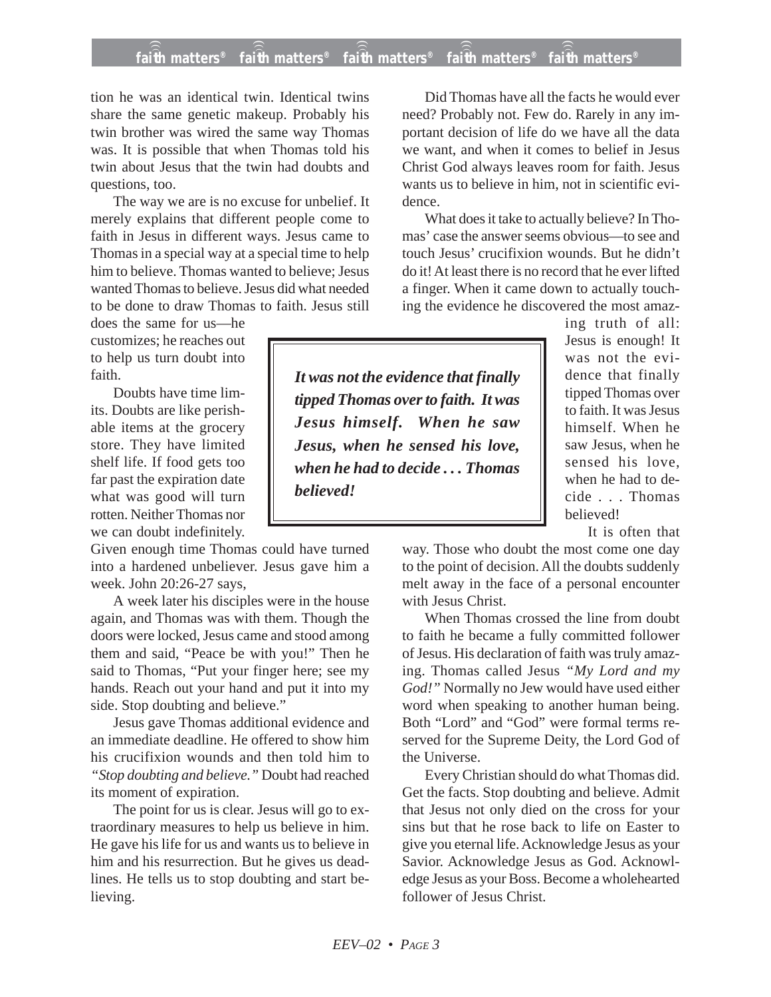## **faith matters® faith matters® faith matters® faith matters® faith matters®** ))) ))) ))) ))) )))

tion he was an identical twin. Identical twins share the same genetic makeup. Probably his twin brother was wired the same way Thomas was. It is possible that when Thomas told his twin about Jesus that the twin had doubts and questions, too.

The way we are is no excuse for unbelief. It merely explains that different people come to faith in Jesus in different ways. Jesus came to Thomas in a special way at a special time to help him to believe. Thomas wanted to believe; Jesus wanted Thomas to believe. Jesus did what needed to be done to draw Thomas to faith. Jesus still

does the same for us—he customizes; he reaches out to help us turn doubt into faith.

Doubts have time limits. Doubts are like perishable items at the grocery store. They have limited shelf life. If food gets too far past the expiration date what was good will turn rotten. Neither Thomas nor we can doubt indefinitely.

Given enough time Thomas could have turned into a hardened unbeliever. Jesus gave him a week. John 20:26-27 says,

A week later his disciples were in the house again, and Thomas was with them. Though the doors were locked, Jesus came and stood among them and said, "Peace be with you!" Then he said to Thomas, "Put your finger here; see my hands. Reach out your hand and put it into my side. Stop doubting and believe."

Jesus gave Thomas additional evidence and an immediate deadline. He offered to show him his crucifixion wounds and then told him to *"Stop doubting and believe."* Doubt had reached its moment of expiration.

The point for us is clear. Jesus will go to extraordinary measures to help us believe in him. He gave his life for us and wants us to believe in him and his resurrection. But he gives us deadlines. He tells us to stop doubting and start believing.

Did Thomas have all the facts he would ever need? Probably not. Few do. Rarely in any important decision of life do we have all the data we want, and when it comes to belief in Jesus Christ God always leaves room for faith. Jesus wants us to believe in him, not in scientific evidence.

What does it take to actually believe? In Thomas' case the answer seems obvious—to see and touch Jesus' crucifixion wounds. But he didn't do it! At least there is no record that he ever lifted a finger. When it came down to actually touching the evidence he discovered the most amaz-

*It was not the evidence that finally tipped Thomas over to faith. It was Jesus himself. When he saw Jesus, when he sensed his love, when he had to decide . . . Thomas believed!*

ing truth of all: Jesus is enough! It was not the evidence that finally tipped Thomas over to faith. It was Jesus himself. When he saw Jesus, when he sensed his love, when he had to decide . . . Thomas believed!

It is often that

way. Those who doubt the most come one day to the point of decision. All the doubts suddenly melt away in the face of a personal encounter with Jesus Christ.

When Thomas crossed the line from doubt to faith he became a fully committed follower of Jesus. His declaration of faith was truly amazing. Thomas called Jesus *"My Lord and my God!"* Normally no Jew would have used either word when speaking to another human being. Both "Lord" and "God" were formal terms reserved for the Supreme Deity, the Lord God of the Universe.

Every Christian should do what Thomas did. Get the facts. Stop doubting and believe. Admit that Jesus not only died on the cross for your sins but that he rose back to life on Easter to give you eternal life. Acknowledge Jesus as your Savior. Acknowledge Jesus as God. Acknowledge Jesus as your Boss. Become a wholehearted follower of Jesus Christ.